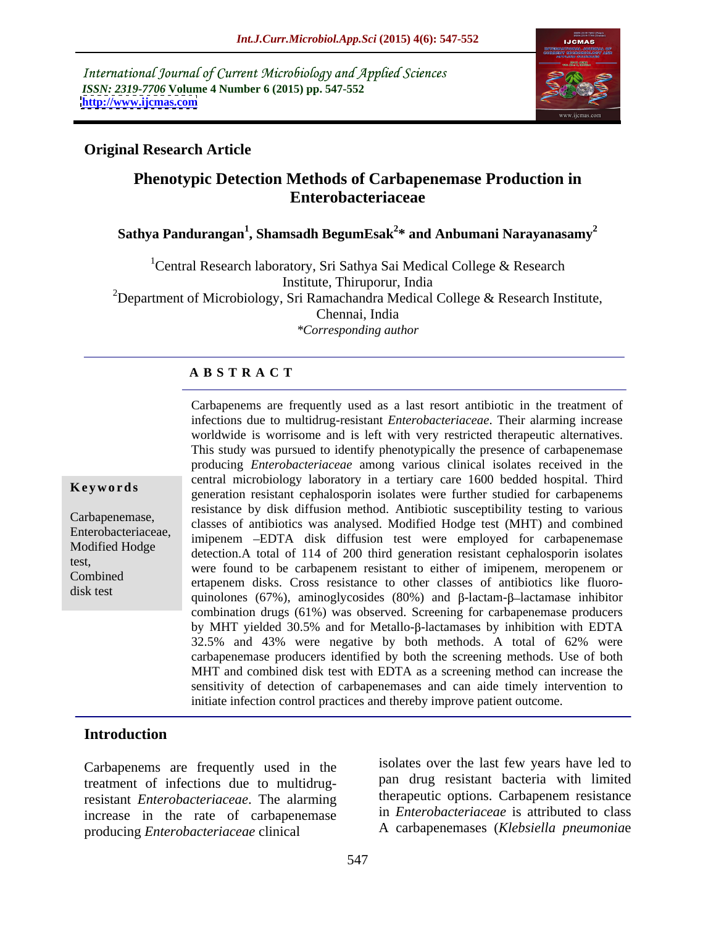International Journal of Current Microbiology and Applied Sciences *ISSN: 2319-7706* **Volume 4 Number 6 (2015) pp. 547-552 <http://www.ijcmas.com>**



### **Original Research Article**

# **Phenotypic Detection Methods of Carbapenemase Production in Enterobacteriaceae**

# **Sathya Pandurangan<sup>1</sup> , Shamsadh BegumEsak2 \* and Anbumani Narayanasamy<sup>2</sup>**

<sup>1</sup> Central Research laboratory, Sri Sathya Sai Medical College & Research Institute, Thiruporur, India <sup>2</sup>Department of Microbiology, Sri Ramachandra Medical College & Research Institute, Chennai, India *\*Corresponding author* 

#### **A B S T R A C T**

disk test

Carbapenems are frequently used as a last resort antibiotic in the treatment of infections due to multidrug-resistant *Enterobacteriaceae*. Their alarming increase worldwide is worrisome and is left with very restricted therapeutic alternatives. This study was pursued to identify phenotypically the presence of carbapenemase producing *Enterobacteriaceae* among various clinical isolates received in the central microbiology laboratory in a tertiary care 1600 bedded hospital. Third **Keywords** generation resistant cephalosporin isolates were further studied for carbapenems resistance by disk diffusion method. Antibiotic susceptibility testing to various Carbapenemase,<br>
Classes of antibiotics was analysed. Modified Hodge test (MHT) and combined Enterobacteriaceae, imipenem -EDTA disk diffusion test were employed for carbapenemase Modified Hodge<br>
detection.A total of 114 of 200 third generation resistant cephalosporin isolates test,<br>
were found to be carbapenem resistant to either of imipenem, meropenem or ertapenem disks. Cross resistance to other classes of antibiotics like fluoroquinolones (67%), aminoglycosides (80%) and  $\beta$ -lactam- $\beta$ -lactamase inhibitor combination drugs (61%) was observed. Screening for carbapenemase producers by MHT yielded  $30.5\%$  and for Metallo- $\beta$ -lactamases by inhibition with EDTA 32.5% and 43% were negative by both methods. A total of 62% were carbapenemase producers identified by both the screening methods. Use of both MHT and combined disk test with EDTA as a screening method can increase the sensitivity of detection of carbapenemases and can aide timely intervention to initiate infection control practices and thereby improve patient outcome.

# **Introduction**

Carbapenems are frequently used in the treatment of infections due to multidrugresistant *Enterobacteriaceae*. The alarming increase in the rate of carbapenemase producing *Enterobacteriaceae* clinical

isolates over the last few years have led to pan drug resistant bacteria with limited therapeutic options. Carbapenem resistance in *Enterobacteriaceae* is attributed to class A carbapenemases (*Klebsiella pneumonia*e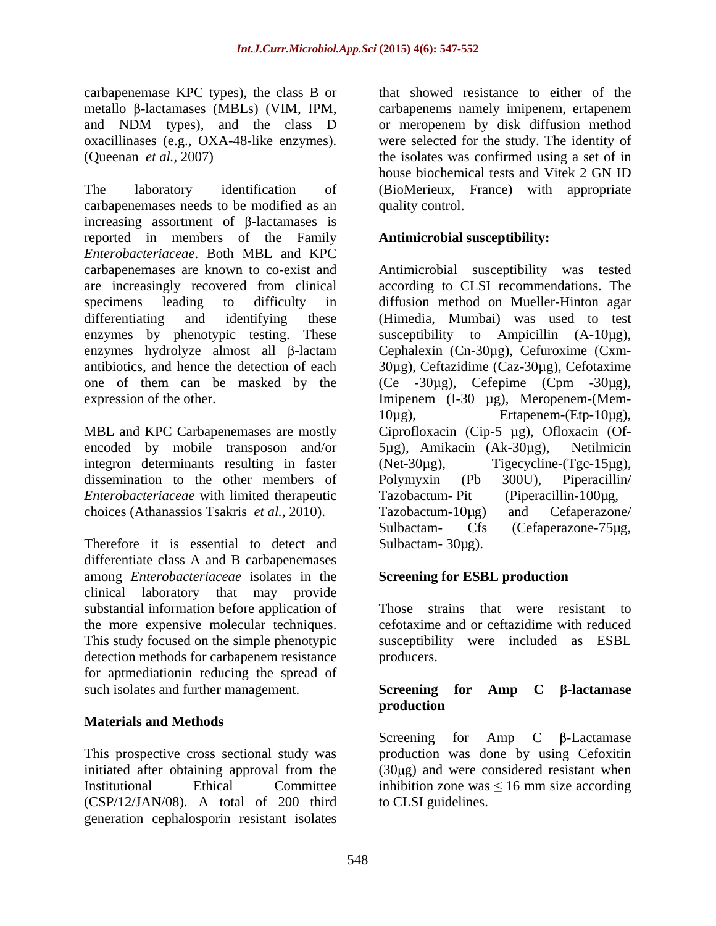carbapenemase KPC types), the class B or oxacillinases (e.g., OXA-48-like enzymes).

The laboratory identification of (BioMerieux, France) with appropriate carbapenemases needs to be modified as an increasing assortment of  $\beta$ -lactamases is reported in members of the Family *Enterobacteriaceae*. Both MBL and KPC carbapenemases are known to co-exist and Antimicrobial susceptibility was tested are increasingly recovered from clinical according to CLSI recommendations. The specimens leading to difficulty in diffusion method on Mueller-Hinton agar differentiating and identifying these (Himedia, Mumbai) was used to test enzymes by phenotypic testing. These susceptibility to Ampicillin (A-10µg), enzymes hydrolyze almost all  $\beta$ -lactam antibiotics, and hence the detection of each 30µg), Ceftazidime (Caz-30µg), Cefotaxime one of them can be masked by the (Ce -30µg), Cefepime (Cpm -30µg),

MBL and KPC Carbapenemases are mostly Ciprofloxacin (Cip-5 µg), Ofloxacin (Of encoded by mobile transposon and/or 5µg), Amikacin (Ak-30µg), Netilmicin integron determinants resulting in faster (Net-30 $\mu$ g), dissemination to the other members of Polymyxin (Pb 300U), Piperacillin *Enterobacteriaceae* with limited therapeutic choices (Athanassios Tsakris *et al.,* 2010).

Therefore it is essential to detect and differentiate class A and B carbapenemases among *Enterobacteriaceae* isolates in the clinical laboratory that may provide substantial information before application of the more expensive molecular techniques. This study focused on the simple phenotypic detection methods for carbapenem resistance producers. for aptmediationin reducing the spread of such isolates and further management. Screening for Amp C  $\beta$ -lactamase

#### **Materials and Methods**

This prospective cross sectional study was production was done by using Cefoxitin initiated after obtaining approval from the (30µg) and were considered resistant when Institutional Ethical Committee inhibition zone was  $\leq 16$  mm size according (CSP/12/JAN/08). A total of 200 third generation cephalosporin resistant isolates

metallo β-lactamases (MBLs) (VIM, IPM, carbapenems namely imipenem, ertapenem and NDM types), and the class D or meropenem by disk diffusion method (Queenan *et al.,* 2007) the isolates was confirmed using a set of in that showed resistance to either of the were selected for the study. The identity of house biochemical tests and Vitek 2 GN ID quality control.

#### **Antimicrobial susceptibility:**

expression of the other. Imipenem (I-30 µg), Meropenem-(Mem- Cephalexin (Cn-30µg), Cefuroxime (Cxm- 10µg), Ertapenem-(Etp-10µg), 5µg), Amikacin (Ak-30µg), Netilmicin  $Tigecyclic-(Tgc-15µg)$ , Polymyxin (Pb 300U), Piperacillin/  $(Piperacillin-100µg,$ Tazobactum-10µg) and Cefaperazone/ Sulbactam- Cfs (Cefaperazone-75µg, Sulbactam- 30µg).

#### **Screening for ESBL production**

Those strains that were resistant to cefotaxime and or ceftazidime with reduced susceptibility were included as ESBL producers.

#### **Screening for Amp C -lactamase production**

Screening for Amp  $C$   $\beta$ -Lactamase to CLSI guidelines.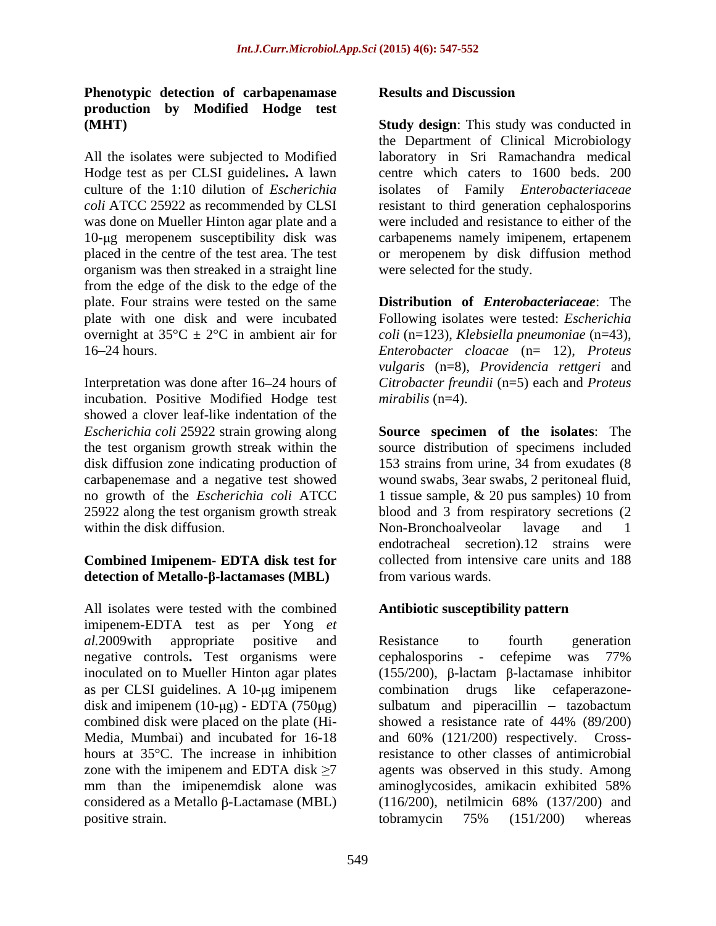# **Phenotypic detection of carbapenamase production by Modified Hodge test**

Hodge test as per CLSI guidelines**.** A lawn culture of the 1:10 dilution of *Escherichia*  was done on Mueller Hinton agar plate and a 10-µg meropenem susceptibility disk was carbapenems namely imipenem, ertapenem organism was then streaked in a straight line from the edge of the disk to the edge of the plate. Four strains were tested on the same **Distribution of** *Enterobacteriaceae*: The plate with one disk and were incubated Following isolates were tested: *Escherichia* overnight at 35°C ± 2°C in ambient air for *coli* (n=123), *Klebsiella pneumoniae* (n=43),

Interpretation was done after 16–24 hours of incubation. Positive Modified Hodge test showed a clover leaf-like indentation of the within the disk diffusion.  $\blacksquare$  Non-Bronchoalveolar lavage and 1

### **Combined Imipenem- EDTA disk test for detection of Metallo- -lactamases (MBL)**

All isolates were tested with the combined imipenem-EDTA test as per Yong *et*  combined disk were placed on the plate (Hi mm than the imipenemdisk alone was aminoglycosides, amikacin exhibited 58% considered as a Metallo  $\beta$ -Lactamase (MBL) (116/200), netilmicin 68% (137/200) and positive strain. to bramycin 75% (151/200) whereas

#### **Results and Discussion**

**(MHT) Study design**: This study was conducted in All the isolates were subjected to Modified laboratory in Sri Ramachandra medical *coli* ATCC 25922 as recommended by CLSI resistant to third generation cephalosporins placed in the centre of the test area. The test or meropenem by disk diffusion method the Department of Clinical Microbiology centre which caters to 1600 beds. 200 isolates of Family *Enterobacteriaceae* were included and resistance to either of the carbapenems namely imipenem, ertapenem were selected for the study.

16 24 hours. *Enterobacter cloacae* (n= 12), *Proteus vulgaris* (n=8), *Providencia rettgeri* and *Citrobacter freundii* (n=5) each and *Proteus mirabilis* (n=4).

*Escherichia coli* 25922 strain growing along **Source specimen of the isolates**: The the test organism growth streak within the source distribution of specimens included disk diffusion zone indicating production of 153 strains from urine, 34 from exudates (8 carbapenemase and a negative test showed wound swabs, 3ear swabs, 2 peritoneal fluid, no growth of the *Escherichia coli* ATCC 1 tissue sample, & 20 pussamples) 10 from 25922 along the test organism growth streak blood and 3 from respiratory secretions (2 Non-Bronchoalveolar lavage and 1 endotracheal secretion).12 strains were collected from intensive care units and 188 from various wards.

#### **Antibiotic susceptibility pattern**

*al.*2009with appropriate positive and negative controls**.** Test organisms were cephalosporins - cefepime was 77% inoculated on to Mueller Hinton agar plates (155/200),  $\beta$ -lactam  $\beta$ -lactamase inhibitor as per CLSI guidelines. A 10-µg imipenem combination drugs like cefaperazonedisk and imipenem  $(10-\mu g)$  - EDTA  $(750\mu g)$  sulbatum and piperacillin – tazobactum Media, Mumbai) and incubated for 16-18 and 60% (121/200) respectively. Crosshours at 35<sup>o</sup>C. The increase in inhibition resistance to other classes of antimicrobial zone with the imipenem and EDTA disk  $\geq 7$  agents was observed in this study. Among Resistance to fourth generation showed a resistance rate of 44% (89/200) aminoglycosides, amikacin exhibited 58% (116/200), netilmicin 68% (137/200) and tobramycin 75% (151/200) whereas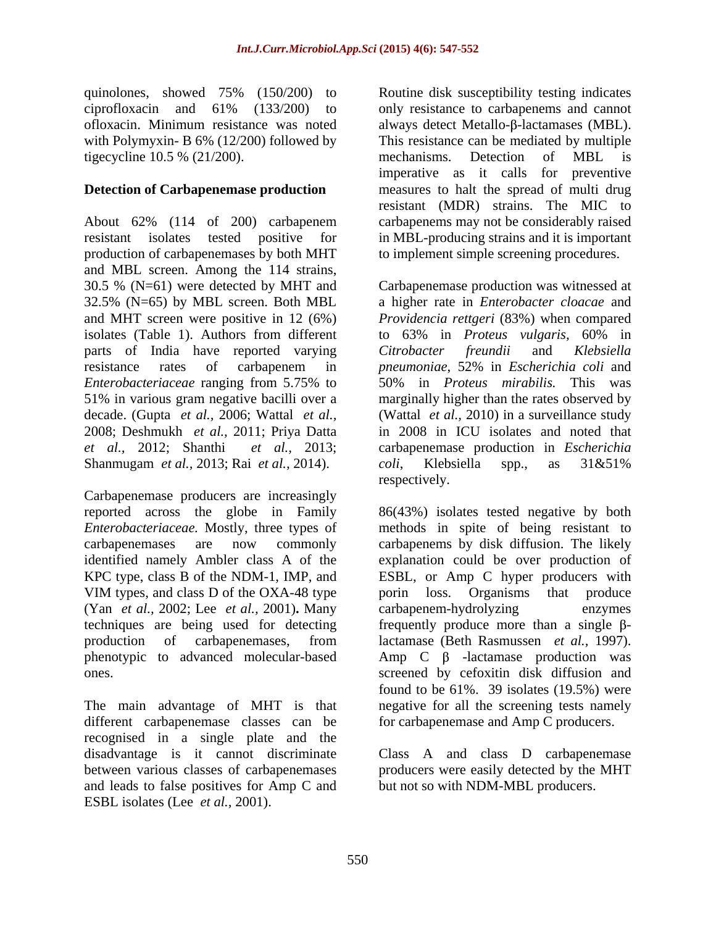quinolones, showed 75% (150/200) to tigecycline 10.5 % (21/200). The mechanisms. Detection of MBL is

#### **Detection of Carbapenemase production**

About 62% (114 of 200) carbapenem carbapenems may not be considerably raised resistant isolates tested positive for in MBL-producing strains and it is important production of carbapenemases by both MHT and MBL screen. Among the 114 strains, 30.5 % (N=61) were detected by MHT and Carbapenemase production was witnessed at 32.5% (N=65) by MBL screen. Both MBL a higher rate in *Enterobacter cloacae* and and MHT screen were positive in 12 (6%) *Providencia rettgeri* (83%) when compared isolates (Table 1). Authors from different to 63% in *Proteus vulgaris*, 60% in parts of India have reported varying Citrobacter freundii and Klebsiella resistance rates of carbapenem in *pneumoniae*, 52% in *Escherichia coli* and *Enterobacteriaceae* ranging from 5.75% to 51% in various gram negative bacilli over a marginally higher than the rates observed by decade. (Gupta *et al.,* 2006; Wattal *et al.,* (Wattal *et al.,* 2010) in a surveillance study 2008; Deshmukh *et al.,* 2011; Priya Datta in 2008 in ICU isolates and noted that *et al.,* 2012; Shanthi *et al.,*2013; carbapenemase production in *Escherichia*  Shanmugam *et al.,* 2013; Rai *et al.,* 2014).

Carbapenemase producers are increasingly identified namely Ambler class A of the VIM types, and class D of the OXA-48 type porin loss. Organisms that produce (Yan *et al.,* 2002; Lee *et al.,* 2001)**.** Many phenotypic to advanced molecular-based

different carbapenemase classes can be recognised in a single plate and the disadvantage is it cannot discriminate between various classes of carbapenemases producers were easily detected by the MHT and leads to false positives for Amp C and ESBL isolates (Lee *et al.,* 2001).

ciprofloxacin and 61% (133/200) to only resistance to carbapenems and cannot ofloxacin. Minimum resistance was noted always detect Metallo-β-lactamases (MBL). with Polymyxin- B 6% (12/200) followed by This resistance can be mediated by multiple Routine disk susceptibility testing indicates mechanisms. Detection of MBL is imperative as it calls for preventive measures to halt the spread of multi drug resistant (MDR) strains. The MIC to to implement simple screening procedures.

> to 63% in *Proteus vulgaris,* 60% in *Citrobacter freundii* and *Klebsiella pneumoniae*, 52% in *Escherichia coli* and 50% in *Proteus mirabilis.* This was *coli*, Klebsiella spp., as 31&51% respectively.

reported across the globe in Family 86(43%) isolates tested negative by both *Enterobacteriaceae.* Mostly, three types of methods in spite of being resistant to carbapenemases are now commonly carbapenems by disk diffusion. The likely KPC type, class B of the NDM-1, IMP, and ESBL, or Amp C hyper producers with techniques are being used for detecting frequently produce more than a single  $\beta$ production of carbapenemases, from lactamase (Beth Rasmussen *et al.,* 1997). ones. screened by cefoxitin disk diffusion and The main advantage of MHT is that negative for all the screening tests namely explanation could be over production of porin loss. Organisms that produce carbapenem-hydrolyzing enzymes Amp  $C$   $\beta$  -lactamase production was found to be  $61\%$ . 39 isolates  $(19.5\%)$  were for carbapenemase and Amp C producers.

> Class A and class D carbapenemase but not so with NDM-MBL producers.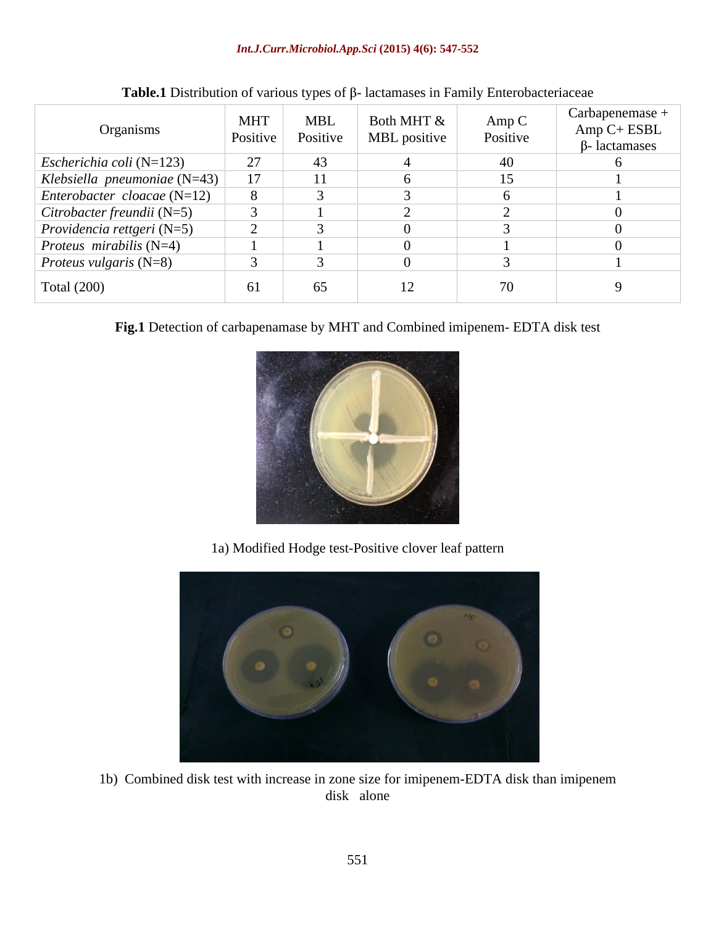#### *Int.J.Curr.Microbiol.App.Sci* **(2015) 4(6): 547-552**

| Organisms                             | <b>MHT</b> | <b>MBL</b><br>Positive Positive | Both MHT $\&$<br><b>MBL</b> positive $\vert$ | Amp C<br>Positive | Carbapenemase +<br>$Amp C+ESBL$<br>$\beta$ - lactamases |
|---------------------------------------|------------|---------------------------------|----------------------------------------------|-------------------|---------------------------------------------------------|
| <i>Escherichia coli</i> ( $N=123$ )   | 27         | 43                              |                                              | 40                |                                                         |
| Klebsiella pneumoniae (N=43)          | 17         | 11                              |                                              | 15                |                                                         |
| $\vert$ Enterobacter cloacae (N=12)   |            |                                 |                                              |                   |                                                         |
| $\vert$ Citrobacter freundii (N=5)    |            |                                 |                                              |                   |                                                         |
| <i>Providencia rettgeri</i> ( $N=5$ ) |            |                                 |                                              |                   |                                                         |
| <i>Proteus mirabilis</i> ( $N=4$ )    |            |                                 |                                              |                   |                                                         |
| <i>Proteus vulgaris</i> $(N=8)$       |            |                                 |                                              |                   |                                                         |
| Total $(200)$                         | 61         | 65                              | 12                                           |                   |                                                         |

| <b>Table.1</b> Distribution of various types of β- lactamases in Family Enterobacteriaceae |  |
|--------------------------------------------------------------------------------------------|--|
|--------------------------------------------------------------------------------------------|--|

**Fig.1** Detection of carbapenamase by MHT and Combined imipenem- EDTA disk test



1a) Modified Hodge test-Positive clover leaf pattern



1b) Combined disk test with increase in zone size for imipenem-EDTA disk than imipenem disk alone